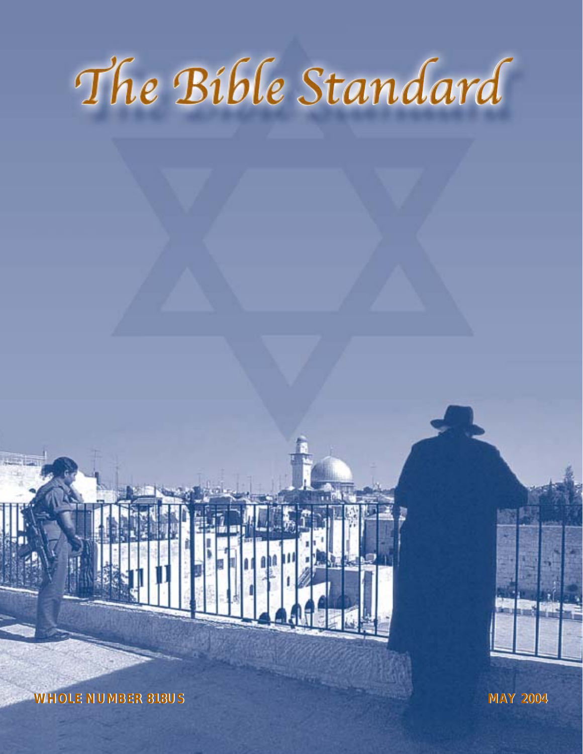# The Bible Standard

**WHOLE NUMBER 818US WHOLE NUMBER 818US MAY 2004 MAY**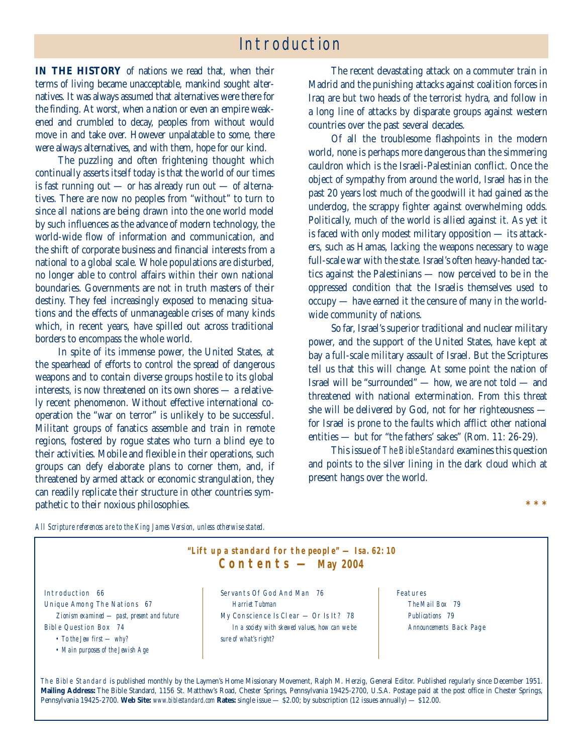# Introduction

**IN THE HISTORY** of nations we read that, when their terms of living became unacceptable, mankind sought alternatives. It was always assumed that alternatives were there for the finding. At worst, when a nation or even an empire weakened and crumbled to decay, peoples from without would move in and take over. However unpalatable to some, there were always alternatives, and with them, hope for our kind.

The puzzling and often frightening thought which continually asserts itself today is that the world of our times is fast running out — or has already run out — of alternatives. There are now no peoples from "without" to turn to since all nations are being drawn into the one world model by such influences as the advance of modern technology, the world-wide flow of information and communication, and the shift of corporate business and financial interests from a national to a global scale. Whole populations are disturbed, no longer able to control affairs within their own national boundaries. Governments are not in truth masters of their destiny. They feel increasingly exposed to menacing situations and the effects of unmanageable crises of many kinds which, in recent years, have spilled out across traditional borders to encompass the whole world.

In spite of its immense power, the United States, at the spearhead of efforts to control the spread of dangerous weapons and to contain diverse groups hostile to its global interests, is now threatened on its own shores — a relatively recent phenomenon. Without effective international cooperation the "war on terror" is unlikely to be successful. Militant groups of fanatics assemble and train in remote regions, fostered by rogue states who turn a blind eye to their activities. Mobile and flexible in their operations, such groups can defy elaborate plans to corner them, and, if threatened by armed attack or economic strangulation, they can readily replicate their structure in other countries sympathetic to their noxious philosophies.

The recent devastating attack on a commuter train in Madrid and the punishing attacks against coalition forces in Iraq are but two heads of the terrorist hydra, and follow in a long line of attacks by disparate groups against western countries over the past several decades.

Of all the troublesome flashpoints in the modern world, none is perhaps more dangerous than the simmering cauldron which is the Israeli-Palestinian conflict. Once the object of sympathy from around the world, Israel has in the past 20 years lost much of the goodwill it had gained as the underdog, the scrappy fighter against overwhelming odds. Politically, much of the world is allied against it. As yet it is faced with only modest military opposition — its attackers, such as Hamas, lacking the weapons necessary to wage full-scale war with the state. Israel's often heavy-handed tactics against the Palestinians — now perceived to be in the oppressed condition that the Israelis themselves used to occupy — have earned it the censure of many in the worldwide community of nations.

So far, Israel's superior traditional and nuclear military power, and the support of the United States, have kept at bay a full-scale military assault of Israel. But the Scriptures tell us that this will change. At some point the nation of Israel will be "surrounded" — how, we are not told — and threatened with national extermination. From this threat she will be delivered by God, not for her righteousness for Israel is prone to the faults which afflict other national entities — but for "the fathers' sakes" (Rom. 11: 26-29).

This issue of *The Bible Standard* examines this question and points to the silver lining in the dark cloud which at present hangs over the world.

**\*\*\***

*All Scripture references are to the King James Version, unless otherwise stated.*



The Bible Standard is published monthly by the Laymen's Home Missionary Movement, Ralph M. Herzig, General Editor. Published regularly since December 1951. **Mailing Address:** The Bible Standard, 1156 St. Matthew's Road, Chester Springs, Pennsylvania 19425-2700, U.S.A. Postage paid at the post office in Chester Springs, Pennsylvania 19425-2700. **Web Site:** *www.biblestandard.com* **Rates:** single issue — \$2.00; by subscription (12 issues annually) — \$12.00.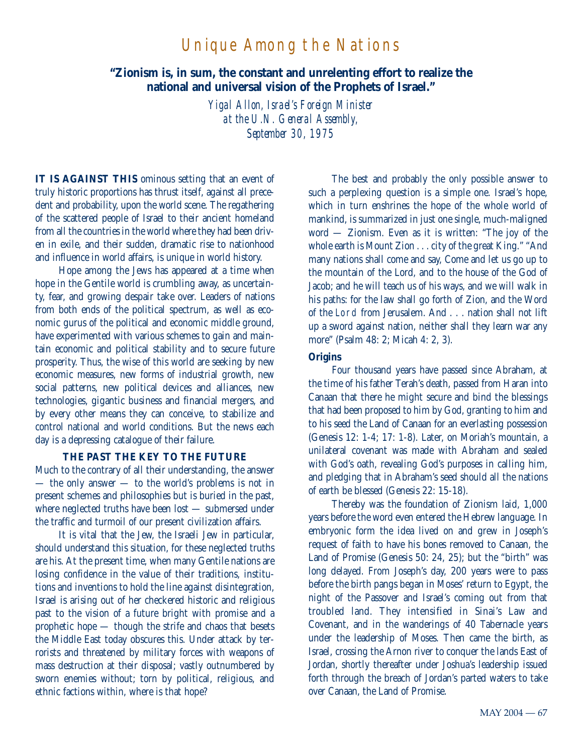# Unique Among the Nations

**"Zionism is, in sum, the constant and unrelenting effort to realize the national and universal vision of the Prophets of Israel."**

> *Yigal Allon, Israel's Foreign Minister at the U.N. General Assembly, September 30, 1975*

**IT IS AGAINST THIS** ominous setting that an event of truly historic proportions has thrust itself, against all precedent and probability, upon the world scene. The regathering of the scattered people of Israel to their ancient homeland from all the countries in the world where they had been driven in exile, and their sudden, dramatic rise to nationhood and influence in world affairs, is unique in world history.

Hope among the Jews has appeared at a time when hope in the Gentile world is crumbling away, as uncertainty, fear, and growing despair take over. Leaders of nations from both ends of the political spectrum, as well as economic gurus of the political and economic middle ground, have experimented with various schemes to gain and maintain economic and political stability and to secure future prosperity. Thus, the wise of this world are seeking by new economic measures, new forms of industrial growth, new social patterns, new political devices and alliances, new technologies, gigantic business and financial mergers, and by every other means they can conceive, to stabilize and control national and world conditions. But the news each day is a depressing catalogue of their failure.

#### **THE PAST THE KEY TO THE FUTURE**

Much to the contrary of all their understanding, the answer — the only answer — to the world's problems is not in present schemes and philosophies but is buried in the past, where neglected truths have been lost — submersed under the traffic and turmoil of our present civilization affairs.

It is vital that the Jew, the Israeli Jew in particular, should understand this situation, for these neglected truths are his. At the present time, when many Gentile nations are losing confidence in the value of their traditions, institutions and inventions to hold the line against disintegration, Israel is arising out of her checkered historic and religious past to the vision of a future bright with promise and a prophetic hope — though the strife and chaos that besets the Middle East today obscures this. Under attack by terrorists and threatened by military forces with weapons of mass destruction at their disposal; vastly outnumbered by sworn enemies without; torn by political, religious, and ethnic factions within, where is that hope?

The best and probably the only possible answer to such a perplexing question is a simple one. Israel's hope, which in turn enshrines the hope of the whole world of mankind, is summarized in just one single, much-maligned word — Zionism. Even as it is written: "The joy of the whole earth is Mount Zion . . . city of the great King." "And many nations shall come and say, Come and let us go up to the mountain of the Lord, and to the house of the God of Jacob; and he will teach us of his ways, and we will walk in his paths: for the law shall go forth of Zion, and the Word of the Lord from Jerusalem. And . . . nation shall not lift up a sword against nation, neither shall they learn war any more" (Psalm 48: 2; Micah 4: 2, 3).

#### **Origins**

Four thousand years have passed since Abraham, at the time of his father Terah's death, passed from Haran into Canaan that there he might secure and bind the blessings that had been proposed to him by God, granting to him and to his seed the Land of Canaan for an everlasting possession (Genesis 12: 1-4; 17: 1-8). Later, on Moriah's mountain, a unilateral covenant was made with Abraham and sealed with God's oath, revealing God's purposes in calling him, and pledging that in Abraham's seed should all the nations of earth be blessed (Genesis 22: 15-18).

Thereby was the foundation of Zionism laid, 1,000 years before the word even entered the Hebrew language. In embryonic form the idea lived on and grew in Joseph's request of faith to have his bones removed to Canaan, the Land of Promise (Genesis 50: 24, 25); but the "birth" was long delayed. From Joseph's day, 200 years were to pass before the birth pangs began in Moses' return to Egypt, the night of the Passover and Israel's coming out from that troubled land. They intensified in Sinai's Law and Covenant, and in the wanderings of 40 Tabernacle years under the leadership of Moses. Then came the birth, as Israel, crossing the Arnon river to conquer the lands East of Jordan, shortly thereafter under Joshua's leadership issued forth through the breach of Jordan's parted waters to take over Canaan, the Land of Promise.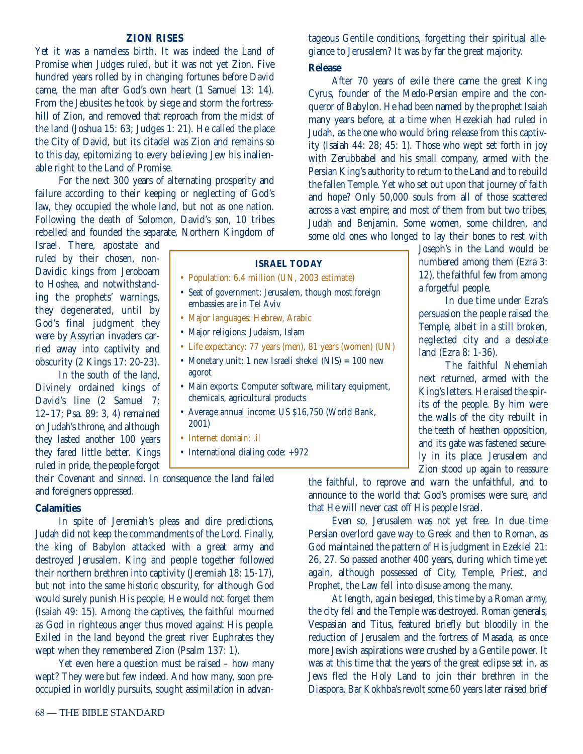#### **ZION RISES**

Yet it was a nameless birth. It was indeed the Land of Promise when Judges ruled, but it was not yet Zion. Five hundred years rolled by in changing fortunes before David came, the man after God's own heart (1 Samuel 13: 14). From the Jebusites he took by siege and storm the fortresshill of Zion, and removed that reproach from the midst of the land (Joshua 15: 63; Judges 1: 21). He called the place the City of David, but its citadel was Zion and remains so to this day, epitomizing to every believing Jew his inalienable right to the Land of Promise.

For the next 300 years of alternating prosperity and failure according to their keeping or neglecting of God's law, they occupied the whole land, but not as one nation. Following the death of Solomon, David's son, 10 tribes rebelled and founded the separate, Northern Kingdom of

Israel. There, apostate and ruled by their chosen, non-Davidic kings from Jeroboam to Hoshea, and notwithstanding the prophets' warnings, they degenerated, until by God's final judgment they were by Assyrian invaders carried away into captivity and obscurity (2 Kings 17: 20-23).

In the south of the land, Divinely ordained kings of David's line (2 Samuel 7: 12–17; Psa. 89: 3, 4) remained on Judah's throne, and although they lasted another 100 years they fared little better. Kings ruled in pride, the people forgot

| • Seat of government: Jerusalem, though most foreign<br>embassies are in Tel Aviv      |
|----------------------------------------------------------------------------------------|
| • Major languages: Hebrew, Arabic                                                      |
| • Major religions: Judaism, Islam                                                      |
| • Life expectancy: 77 years (men), 81 years (women)                                    |
| • Monetary unit: 1 new Israeli shekel (NIS) = $100r$<br>agorot                         |
| • Main exports: Computer software, military equipr<br>chemicals, agricultural products |
| • Average annual income: US \$16,750 (World Bank<br>2001)                              |
| .                                                                                      |

- Internet domain: .il
- International dialing code: +972

their Covenant and sinned. In consequence the land failed and foreigners oppressed.

#### **Calamities**

In spite of Jeremiah's pleas and dire predictions, Judah did not keep the commandments of the Lord. Finally, the king of Babylon attacked with a great army and destroyed Jerusalem. King and people together followed their northern brethren into captivity (Jeremiah 18: 15-17), but not into the same historic obscurity, for although God would surely punish His people, He would not forget them (Isaiah 49: 15). Among the captives, the faithful mourned as God in righteous anger thus moved against His people. Exiled in the land beyond the great river Euphrates they wept when they remembered Zion (Psalm 137: 1).

Yet even here a question must be raised – how many wept? They were but few indeed. And how many, soon preoccupied in worldly pursuits, sought assimilation in advantageous Gentile conditions, forgetting their spiritual allegiance to Jerusalem? It was by far the great majority. **Release**

After 70 years of exile there came the great King Cyrus, founder of the Medo-Persian empire and the conqueror of Babylon. He had been named by the prophet Isaiah many years before, at a time when Hezekiah had ruled in Judah, as the one who would bring release from this captivity (Isaiah 44: 28; 45: 1). Those who wept set forth in joy with Zerubbabel and his small company, armed with the Persian King's authority to return to the Land and to rebuild the fallen Temple. Yet who set out upon that journey of faith and hope? Only 50,000 souls from all of those scattered across a vast empire; and most of them from but two tribes, Judah and Benjamin. Some women, some children, and some old ones who longed to lay their bones to rest with

> Joseph's in the Land would be numbered among them (Ezra 3: 12), the faithful few from among

> In due time under Ezra's persuasion the people raised the Temple, albeit in a still broken, neglected city and a desolate

> The faithful Nehemiah next returned, armed with the King's letters. He raised the spirits of the people. By him were the walls of the city rebuilt in the teeth of heathen opposition, and its gate was fastened securely in its place. Jerusalem and Zion stood up again to reassure

a forgetful people.

land (Ezra 8: 1-36).

#### **ISRAEL TODAY**

- Population: 6.4 million (UN, 2003 estimate)
- Seat of government: Jerusalem, though most foreign
- Life expectancy: 77 years (men), 81 years (women) (UN)
- Monetary unit: 1 new Israeli shekel (NIS) = 100 new
- Main exports: Computer software, military equipment,
- Average annual income: US \$16,750 (World Bank,
- 

the faithful, to reprove and warn the unfaithful, and to announce to the world that God's promises were sure, and that He will never cast off His people Israel.

Even so, Jerusalem was not yet free. In due time Persian overlord gave way to Greek and then to Roman, as God maintained the pattern of His judgment in Ezekiel 21: 26, 27. So passed another 400 years, during which time yet again, although possessed of City, Temple, Priest, and Prophet, the Law fell into disuse among the many.

At length, again besieged, this time by a Roman army, the city fell and the Temple was destroyed. Roman generals, Vespasian and Titus, featured briefly but bloodily in the reduction of Jerusalem and the fortress of Masada, as once more Jewish aspirations were crushed by a Gentile power. It was at this time that the years of the great eclipse set in, as Jews fled the Holy Land to join their brethren in the Diaspora. Bar Kokhba's revolt some 60 years later raised brief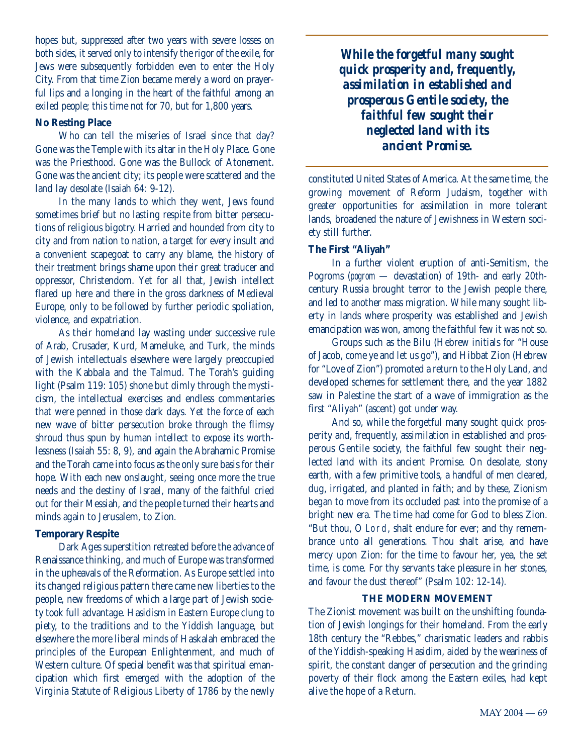hopes but, suppressed after two years with severe losses on both sides, it served only to intensify the rigor of the exile, for Jews were subsequently forbidden even to enter the Holy City. From that time Zion became merely a word on prayerful lips and a longing in the heart of the faithful among an exiled people; this time not for 70, but for 1,800 years.

#### **No Resting Place**

Who can tell the miseries of Israel since that day? Gone was the Temple with its altar in the Holy Place. Gone was the Priesthood. Gone was the Bullock of Atonement. Gone was the ancient city; its people were scattered and the land lay desolate (Isaiah 64: 9-12).

In the many lands to which they went, Jews found sometimes brief but no lasting respite from bitter persecutions of religious bigotry. Harried and hounded from city to city and from nation to nation, a target for every insult and a convenient scapegoat to carry any blame, the history of their treatment brings shame upon their great traducer and oppressor, Christendom. Yet for all that, Jewish intellect flared up here and there in the gross darkness of Medieval Europe, only to be followed by further periodic spoliation, violence, and expatriation.

As their homeland lay wasting under successive rule of Arab, Crusader, Kurd, Mameluke, and Turk, the minds of Jewish intellectuals elsewhere were largely preoccupied with the Kabbala and the Talmud. The Torah's guiding light (Psalm 119: 105) shone but dimly through the mysticism, the intellectual exercises and endless commentaries that were penned in those dark days. Yet the force of each new wave of bitter persecution broke through the flimsy shroud thus spun by human intellect to expose its worthlessness (Isaiah 55: 8, 9), and again the Abrahamic Promise and the Torah came into focus as the only sure basis for their hope. With each new onslaught, seeing once more the true needs and the destiny of Israel, many of the faithful cried out for their Messiah, and the people turned their hearts and minds again to Jerusalem, to Zion.

#### **Temporary Respite**

Dark Ages superstition retreated before the advance of Renaissance thinking, and much of Europe was transformed in the upheavals of the Reformation. As Europe settled into its changed religious pattern there came new liberties to the people, new freedoms of which a large part of Jewish society took full advantage. Hasidism in Eastern Europe clung to piety, to the traditions and to the Yiddish language, but elsewhere the more liberal minds of Haskalah embraced the principles of the European Enlightenment, and much of Western culture. Of special benefit was that spiritual emancipation which first emerged with the adoption of the Virginia Statute of Religious Liberty of 1786 by the newly

*While the forgetful many sought quick prosperity and, frequently, assimilation in established and prosperous Gentile society, the faithful few sought their neglected land with its ancient Promise.*

constituted United States of America. At the same time, the growing movement of Reform Judaism, together with greater opportunities for assimilation in more tolerant lands, broadened the nature of Jewishness in Western society still further.

#### **The First "Aliyah"**

In a further violent eruption of anti-Semitism, the Pogroms (*pogrom* — devastation) of 19th- and early 20thcentury Russia brought terror to the Jewish people there, and led to another mass migration. While many sought liberty in lands where prosperity was established and Jewish emancipation was won, among the faithful few it was not so.

Groups such as the Bilu (Hebrew initials for "House of Jacob, come ye and let us go"), and Hibbat Zion (Hebrew for "Love of Zion") promoted a return to the Holy Land, and developed schemes for settlement there, and the year 1882 saw in Palestine the start of a wave of immigration as the first "Aliyah" (ascent) got under way.

And so, while the forgetful many sought quick prosperity and, frequently, assimilation in established and prosperous Gentile society, the faithful few sought their neglected land with its ancient Promise. On desolate, stony earth, with a few primitive tools, a handful of men cleared, dug, irrigated, and planted in faith; and by these, Zionism began to move from its occluded past into the promise of a bright new era. The time had come for God to bless Zion. "But thou, O Lord, shalt endure for ever; and thy remembrance unto all generations. Thou shalt arise, and have mercy upon Zion: for the time to favour her, yea, the set time, is come. For thy servants take pleasure in her stones, and favour the dust thereof" (Psalm 102: 12-14).

#### **THE MODERN MOVEMENT**

The Zionist movement was built on the unshifting foundation of Jewish longings for their homeland. From the early 18th century the "Rebbes," charismatic leaders and rabbis of the Yiddish-speaking Hasidim, aided by the weariness of spirit, the constant danger of persecution and the grinding poverty of their flock among the Eastern exiles, had kept alive the hope of a Return.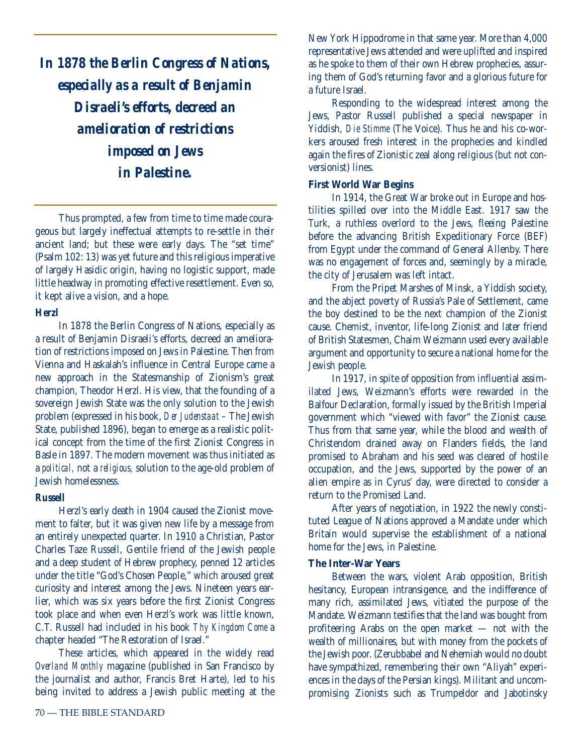*In 1878 the Berlin Congress of Nations, especially as a result of Benjamin Disraeli's efforts, decreed an amelioration of restrictions imposed on Jews in Palestine.* 

Thus prompted, a few from time to time made courageous but largely ineffectual attempts to re-settle in their ancient land; but these were early days. The "set time" (Psalm 102: 13) was yet future and this religious imperative of largely Hasidic origin, having no logistic support, made little headway in promoting effective resettlement. Even so, it kept alive a vision, and a hope.

#### *Herzl*

In 1878 the Berlin Congress of Nations, especially as a result of Benjamin Disraeli's efforts, decreed an amelioration of restrictions imposed on Jews in Palestine. Then from Vienna and Haskalah's influence in Central Europe came a new approach in the Statesmanship of Zionism's great champion, Theodor Herzl. His view, that the founding of a sovereign Jewish State was the only solution to the Jewish problem (expressed in his book, *Der Judenstaat* – The Jewish State, published 1896), began to emerge as a realistic political concept from the time of the first Zionist Congress in Basle in 1897. The modern movement was thus initiated as a *political,* not a *religious,* solution to the age-old problem of Jewish homelessness.

#### *Russell*

Herzl's early death in 1904 caused the Zionist movement to falter, but it was given new life by a message from an entirely unexpected quarter. In 1910 a Christian, Pastor Charles Taze Russell, Gentile friend of the Jewish people and a deep student of Hebrew prophecy, penned 12 articles under the title "God's Chosen People," which aroused great curiosity and interest among the Jews. Nineteen years earlier, which was six years before the first Zionist Congress took place and when even Herzl's work was little known, C.T. Russell had included in his book *Thy Kingdom Come* a chapter headed "The Restoration of Israel."

These articles, which appeared in the widely read *Overland Monthly* magazine (published in San Francisco by the journalist and author, Francis Bret Harte), led to his being invited to address a Jewish public meeting at the New York Hippodrome in that same year. More than 4,000 representative Jews attended and were uplifted and inspired as he spoke to them of their own Hebrew prophecies, assuring them of God's returning favor and a glorious future for a future Israel.

Responding to the widespread interest among the Jews, Pastor Russell published a special newspaper in Yiddish, *Die Stimme* (The Voice). Thus he and his co-workers aroused fresh interest in the prophecies and kindled again the fires of Zionistic zeal along religious (but not conversionist) lines.

#### **First World War Begins**

In 1914, the Great War broke out in Europe and hostilities spilled over into the Middle East. 1917 saw the Turk, a ruthless overlord to the Jews, fleeing Palestine before the advancing British Expeditionary Force (BEF) from Egypt under the command of General Allenby. There was no engagement of forces and, seemingly by a miracle, the city of Jerusalem was left intact.

From the Pripet Marshes of Minsk, a Yiddish society, and the abject poverty of Russia's Pale of Settlement, came the boy destined to be the next champion of the Zionist cause. Chemist, inventor, life-long Zionist and later friend of British Statesmen, Chaim Weizmann used every available argument and opportunity to secure a national home for the Jewish people.

In 1917, in spite of opposition from influential assimilated Jews, Weizmann's efforts were rewarded in the Balfour Declaration, formally issued by the British Imperial government which "viewed with favor" the Zionist cause. Thus from that same year, while the blood and wealth of Christendom drained away on Flanders fields, the land promised to Abraham and his seed was cleared of hostile occupation, and the Jews, supported by the power of an alien empire as in Cyrus' day, were directed to consider a return to the Promised Land.

After years of negotiation, in 1922 the newly constituted League of Nations approved a Mandate under which Britain would supervise the establishment of a national home for the Jews, in Palestine.

#### **The Inter-War Years**

Between the wars, violent Arab opposition, British hesitancy, European intransigence, and the indifference of many rich, assimilated Jews, vitiated the purpose of the Mandate. Weizmann testifies that the land was bought from profiteering Arabs on the open market — not with the wealth of millionaires, but with money from the pockets of the Jewish poor. (Zerubbabel and Nehemiah would no doubt have sympathized, remembering their own "Aliyah" experiences in the days of the Persian kings). Militant and uncompromising Zionists such as Trumpeldor and Jabotinsky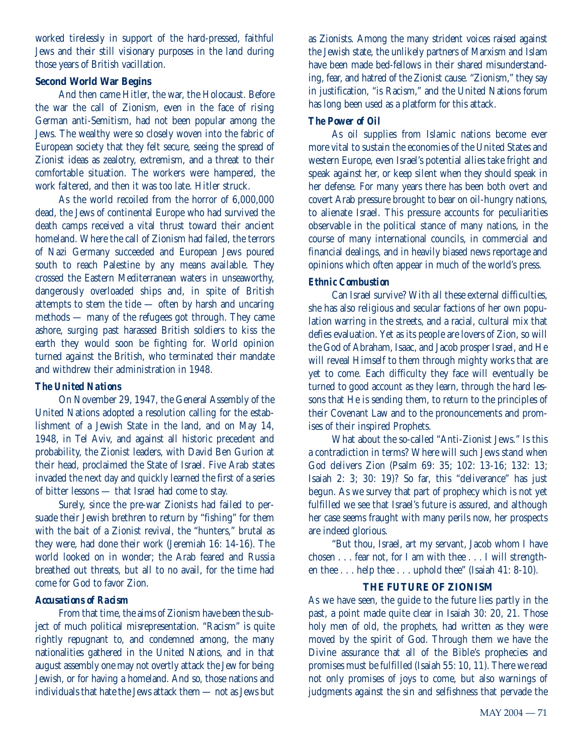worked tirelessly in support of the hard-pressed, faithful Jews and their still visionary purposes in the land during those years of British vacillation.

#### **Second World War Begins**

And then came Hitler, the war, the Holocaust. Before the war the call of Zionism, even in the face of rising German anti-Semitism, had not been popular among the Jews. The wealthy were so closely woven into the fabric of European society that they felt secure, seeing the spread of Zionist ideas as zealotry, extremism, and a threat to their comfortable situation. The workers were hampered, the work faltered, and then it was too late. Hitler struck.

As the world recoiled from the horror of 6,000,000 dead, the Jews of continental Europe who had survived the death camps received a vital thrust toward their ancient homeland. Where the call of Zionism had failed, the terrors of Nazi Germany succeeded and European Jews poured south to reach Palestine by any means available. They crossed the Eastern Mediterranean waters in unseaworthy, dangerously overloaded ships and, in spite of British attempts to stem the tide — often by harsh and uncaring methods — many of the refugees got through. They came ashore, surging past harassed British soldiers to kiss the earth they would soon be fighting for. World opinion turned against the British, who terminated their mandate and withdrew their administration in 1948.

#### *The United Nations*

On November 29, 1947, the General Assembly of the United Nations adopted a resolution calling for the establishment of a Jewish State in the land, and on May 14, 1948, in Tel Aviv, and against all historic precedent and probability, the Zionist leaders, with David Ben Gurion at their head, proclaimed the State of Israel. Five Arab states invaded the next day and quickly learned the first of a series of bitter lessons — that Israel had come to stay.

Surely, since the pre-war Zionists had failed to persuade their Jewish brethren to return by "fishing" for them with the bait of a Zionist revival, the "hunters," brutal as they were, had done their work (Jeremiah 16: 14-16). The world looked on in wonder; the Arab feared and Russia breathed out threats, but all to no avail, for the time had come for God to favor Zion.

#### *Accusations of Racism*

From that time, the aims of Zionism have been the subject of much political misrepresentation. "Racism" is quite rightly repugnant to, and condemned among, the many nationalities gathered in the United Nations, and in that august assembly one may not overtly attack the Jew for being Jewish, or for having a homeland. And so, those nations and individuals that hate the Jews attack them — not as Jews but as Zionists. Among the many strident voices raised against the Jewish state, the unlikely partners of Marxism and Islam have been made bed-fellows in their shared misunderstanding, fear, and hatred of the Zionist cause. "Zionism," they say in justification, "is Racism," and the United Nations forum has long been used as a platform for this attack.

#### *The Power of Oil*

As oil supplies from Islamic nations become ever more vital to sustain the economies of the United States and western Europe, even Israel's potential allies take fright and speak against her, or keep silent when they should speak in her defense. For many years there has been both overt and covert Arab pressure brought to bear on oil-hungry nations, to alienate Israel. This pressure accounts for peculiarities observable in the political stance of many nations, in the course of many international councils, in commercial and financial dealings, and in heavily biased news reportage and opinions which often appear in much of the world's press.

#### *Ethnic Combustion*

Can Israel survive? With all these external difficulties, she has also religious and secular factions of her own population warring in the streets, and a racial, cultural mix that defies evaluation. Yet as its people are lovers of Zion, so will the God of Abraham, Isaac, and Jacob prosper Israel, and He will reveal Himself to them through mighty works that are yet to come. Each difficulty they face will eventually be turned to good account as they learn, through the hard lessons that He is sending them, to return to the principles of their Covenant Law and to the pronouncements and promises of their inspired Prophets.

What about the so-called "Anti-Zionist Jews." Is this a contradiction in terms? Where will such Jews stand when God delivers Zion (Psalm 69: 35; 102: 13-16; 132: 13; Isaiah 2: 3; 30: 19)? So far, this "deliverance" has just begun. As we survey that part of prophecy which is not yet fulfilled we see that Israel's future is assured, and although her case seems fraught with many perils now, her prospects are indeed glorious.

"But thou, Israel, art my servant, Jacob whom I have chosen . . . fear not, for I am with thee . . . I will strengthen thee . . . help thee . . . uphold thee" (Isaiah 41: 8-10).

#### **THE FUTURE OF ZIONISM**

As we have seen, the guide to the future lies partly in the past, a point made quite clear in Isaiah 30: 20, 21. Those holy men of old, the prophets, had written as they were moved by the spirit of God. Through them we have the Divine assurance that all of the Bible's prophecies and promises must be fulfilled (Isaiah 55: 10, 11). There we read not only promises of joys to come, but also warnings of judgments against the sin and selfishness that pervade the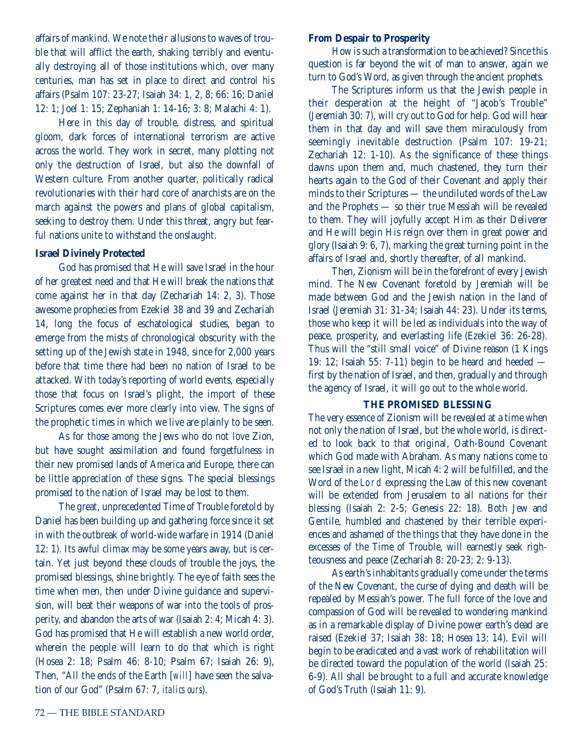affairs of mankind. We note their allusions to waves of trouble that will afflict the earth, shaking terribly and eventually destroying all of those institutions which, over many centuries, man has set in place to direct and control his affairs (Psalm 107: 23-27; Isaiah 34: 1, 2, 8; 66: 16; Daniel 12: 1; Joel 1: 15; Zephaniah 1: 14-16; 3: 8; Malachi 4: 1).

Here in this day of trouble, distress, and spiritual gloom, dark forces of international terrorism are active across the world. They work in secret, many plotting not only the destruction of Israel, but also the downfall of Western culture. From another quarter, politically radical revolutionaries with their hard core of anarchists are on the march against the powers and plans of global capitalism, seeking to destroy them. Under this threat, angry but fearful nations unite to withstand the onslaught.

#### **Israel Divinely Protected**

God has promised that He will save Israel in the hour of her greatest need and that He will break the nations that come against her in that day (Zechariah 14: 2, 3). Those awesome prophecies from Ezekiel 38 and 39 and Zechariah 14, long the focus of eschatological studies, began to emerge from the mists of chronological obscurity with the setting up of the Jewish state in 1948, since for 2,000 years before that time there had been no nation of Israel to be attacked. With today's reporting of world events, especially those that focus on Israel's plight, the import of these Scriptures comes ever more clearly into view. The signs of the prophetic times in which we live are plainly to be seen.

As for those among the Jews who do not love Zion, but have sought assimilation and found forgetfulness in their new promised lands of America and Europe, there can be little appreciation of these signs. The special blessings promised to the nation of Israel may be lost to them.

The great, unprecedented Time of Trouble foretold by Daniel has been building up and gathering force since it set in with the outbreak of world-wide warfare in 1914 (Daniel 12: 1). Its awful climax may be some years away, but is certain. Yet just beyond these clouds of trouble the joys, the promised blessings, shine brightly. The eye of faith sees the time when men, then under Divine guidance and supervision, will beat their weapons of war into the tools of prosperity, and abandon the arts of war (Isaiah 2: 4; Micah 4: 3). God has promised that He will establish a new world order, wherein the people will learn to do that which is right (Hosea 2: 18; Psalm 46: 8-10; Psalm 67; Isaiah 26: 9), Then, "All the ends of the Earth [*will*] have seen the salvation of our God" (Psalm 67: 7, *italics ours*).

#### **From Despair to Prosperity**

How is such a transformation to be achieved? Since this question is far beyond the wit of man to answer, again we turn to God's Word, as given through the ancient prophets.

The Scriptures inform us that the Jewish people in their desperation at the height of "Jacob's Trouble" (Jeremiah 30: 7), will cry out to God for help. God will hear them in that day and will save them miraculously from seemingly inevitable destruction (Psalm 107: 19-21; Zechariah 12: 1-10). As the significance of these things dawns upon them and, much chastened, they turn their hearts again to the God of their Covenant and apply their minds to their Scriptures — the undiluted words of the Law and the Prophets — so their true Messiah will be revealed to them. They will joyfully accept Him as their Deliverer and He will begin His reign over them in great power and glory (Isaiah 9: 6, 7), marking the great turning point in the affairs of Israel and, shortly thereafter, of all mankind.

Then, Zionism will be in the forefront of every Jewish mind. The New Covenant foretold by Jeremiah will be made between God and the Jewish nation in the land of Israel (Jeremiah 31: 31-34; Isaiah 44: 23). Under its terms, those who keep it will be led as individuals into the way of peace, prosperity, and everlasting life (Ezekiel 36: 26-28). Thus will the "still small voice" of Divine reason (1 Kings 19: 12; Isaiah 55: 7-11) begin to be heard and heeded first by the nation of Israel, and then, gradually and through the agency of Israel, it will go out to the whole world.

#### **THE PROMISED BLESSING**

The very essence of Zionism will be revealed at a time when not only the nation of Israel, but the whole world, is directed to look back to that original, Oath-Bound Covenant which God made with Abraham. As many nations come to see Israel in a new light, Micah 4: 2 will be fulfilled, and the Word of the Lord expressing the Law of this new covenant will be extended from Jerusalem to all nations for their blessing (Isaiah 2: 2-5; Genesis 22: 18). Both Jew and Gentile, humbled and chastened by their terrible experiences and ashamed of the things that they have done in the excesses of the Time of Trouble, will earnestly seek righteousness and peace (Zechariah 8: 20-23; 2: 9-13).

As earth's inhabitants gradually come under the terms of the New Covenant, the curse of dying and death will be repealed by Messiah's power. The full force of the love and compassion of God will be revealed to wondering mankind as in a remarkable display of Divine power earth's dead are raised (Ezekiel 37; Isaiah 38: 18; Hosea 13: 14). Evil will begin to be eradicated and a vast work of rehabilitation will be directed toward the population of the world (Isaiah 25: 6-9). All shall be brought to a full and accurate knowledge of God's Truth (Isaiah 11: 9).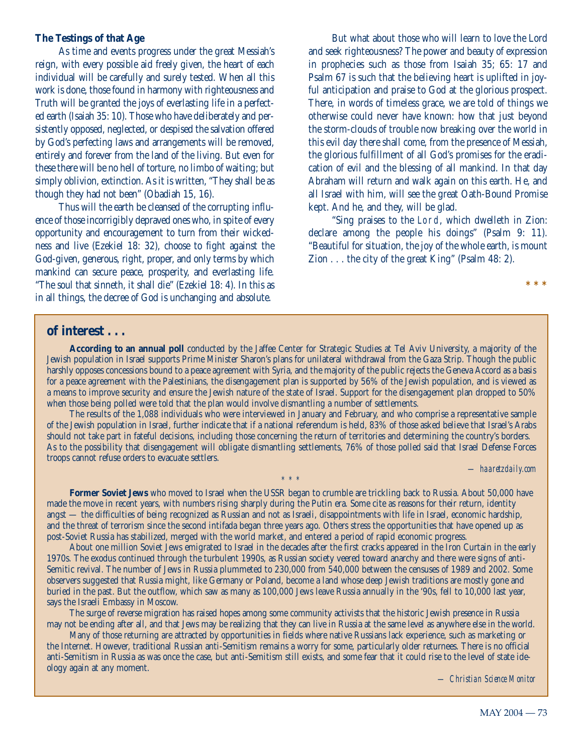#### **The Testings of that Age**

As time and events progress under the great Messiah's reign, with every possible aid freely given, the heart of each individual will be carefully and surely tested. When all this work is done, those found in harmony with righteousness and Truth will be granted the joys of everlasting life in a perfected earth (Isaiah 35: 10). Those who have deliberately and persistently opposed, neglected, or despised the salvation offered by God's perfecting laws and arrangements will be removed, entirely and forever from the land of the living. But even for these there will be no hell of torture, no limbo of waiting; but simply oblivion, extinction. As it is written, "They shall be as though they had not been" (Obadiah 15, 16).

Thus will the earth be cleansed of the corrupting influence of those incorrigibly depraved ones who, in spite of every opportunity and encouragement to turn from their wickedness and live (Ezekiel 18: 32), choose to fight against the God-given, generous, right, proper, and only terms by which mankind can secure peace, prosperity, and everlasting life. "The soul that sinneth, it shall die" (Ezekiel 18: 4). In this as in all things, the decree of God is unchanging and absolute.

But what about those who will learn to love the Lord and seek righteousness? The power and beauty of expression in prophecies such as those from Isaiah 35; 65: 17 and Psalm 67 is such that the believing heart is uplifted in joyful anticipation and praise to God at the glorious prospect. There, in words of timeless grace, we are told of things we otherwise could never have known: how that just beyond the storm-clouds of trouble now breaking over the world in this evil day there shall come, from the presence of Messiah, the glorious fulfillment of all God's promises for the eradication of evil and the blessing of all mankind. In that day Abraham will return and walk again on this earth. He, and all Israel with him, will see the great Oath-Bound Promise kept. And he, and they, will be glad.

"Sing praises to the Lord, which dwelleth in Zion: declare among the people his doings" (Psalm 9: 11). "Beautiful for situation, the joy of the whole earth, is mount Zion . . . the city of the great King" (Psalm 48: 2).

## **of interest . . .**

**According to an annual poll** conducted by the Jaffee Center for Strategic Studies at Tel Aviv University, a majority of the Jewish population in Israel supports Prime Minister Sharon's plans for unilateral withdrawal from the Gaza Strip. Though the public harshly opposes concessions bound to a peace agreement with Syria, and the majority of the public rejects the Geneva Accord as a basis for a peace agreement with the Palestinians, the disengagement plan is supported by 56% of the Jewish population, and is viewed as a means to improve security and ensure the Jewish nature of the state of Israel. Support for the disengagement plan dropped to 50% when those being polled were told that the plan would involve dismantling a number of settlements.

The results of the 1,088 individuals who were interviewed in January and February, and who comprise a representative sample of the Jewish population in Israel, further indicate that if a national referendum is held, 83% of those asked believe that Israel's Arabs should not take part in fateful decisions, including those concerning the return of territories and determining the country's borders. As to the possibility that disengagement will obligate dismantling settlements, 76% of those polled said that Israel Defense Forces troops cannot refuse orders to evacuate settlers.

*— haaretzdaily.com*

**\*\*\***

**Former Soviet Jews** who moved to Israel when the USSR began to crumble are trickling back to Russia. About 50,000 have made the move in recent years, with numbers rising sharply during the Putin era. Some cite as reasons for their return, identity angst — the difficulties of being recognized as Russian and not as Israeli, disappointments with life in Israel, economic hardship, and the threat of terrorism since the second intifada began three years ago. Others stress the opportunities that have opened up as post-Soviet Russia has stabilized, merged with the world market, and entered a period of rapid economic progress.

*\* \* \**

About one million Soviet Jews emigrated to Israel in the decades after the first cracks appeared in the Iron Curtain in the early 1970s. The exodus continued through the turbulent 1990s, as Russian society veered toward anarchy and there were signs of anti-Semitic revival. The number of Jews in Russia plummeted to 230,000 from 540,000 between the censuses of 1989 and 2002. Some observers suggested that Russia might, like Germany or Poland, become a land whose deep Jewish traditions are mostly gone and buried in the past. But the outflow, which saw as many as 100,000 Jews leave Russia annually in the '90s, fell to 10,000 last year, says the Israeli Embassy in Moscow.

The surge of reverse migration has raised hopes among some community activists that the historic Jewish presence in Russia may not be ending after all, and that Jews may be realizing that they can live in Russia at the same level as anywhere else in the world.

Many of those returning are attracted by opportunities in fields where native Russians lack experience, such as marketing or the Internet. However, traditional Russian anti-Semitism remains a worry for some, particularly older returnees. There is no official anti-Semitism in Russia as was once the case, but anti-Semitism still exists, and some fear that it could rise to the level of state ideology again at any moment.

*— Christian Science Monitor*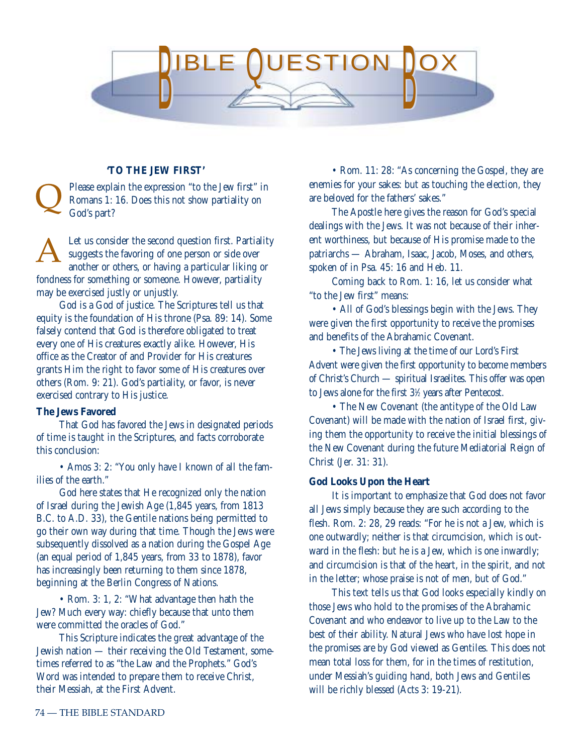

#### **'TO THE JEW FIRST'**

Please explain the expression "to the Jew first" in Romans 1: 16. Does this not show partiality on God's part? Q

Let us consider the second question first. Partiality suggests the favoring of one person or side over another or others, or having a particular liking or fondness for something or someone. However, partiality may be exercised justly or unjustly. A

God is a God of justice. The Scriptures tell us that equity is the foundation of His throne (Psa. 89: 14). Some falsely contend that God is therefore obligated to treat every one of His creatures exactly alike. However, His office as the Creator of and Provider for His creatures grants Him the right to favor some of His creatures over others (Rom. 9: 21). God's partiality, or favor, is never exercised contrary to His justice.

#### **The Jews Favored**

That God has favored the Jews in designated periods of time is taught in the Scriptures, and facts corroborate this conclusion:

• Amos 3: 2: "You only have I known of all the families of the earth."

God here states that He recognized only the nation of Israel during the Jewish Age (1,845 years, from 1813 B.C. to A.D. 33), the Gentile nations being permitted to go their own way during that time. Though the Jews were subsequently dissolved as a nation during the Gospel Age (an equal period of 1,845 years, from 33 to 1878), favor has increasingly been returning to them since 1878, beginning at the Berlin Congress of Nations.

• Rom. 3: 1, 2: "What advantage then hath the Jew? Much every way: chiefly because that unto them were committed the oracles of God."

This Scripture indicates the great advantage of the Jewish nation — their receiving the Old Testament, sometimes referred to as "the Law and the Prophets." God's Word was intended to prepare them to receive Christ, their Messiah, at the First Advent.

• Rom. 11: 28: "As concerning the Gospel, they are enemies for your sakes: but as touching the election, they are beloved for the fathers' sakes."

The Apostle here gives the reason for God's special dealings with the Jews. It was not because of their inherent worthiness, but because of His promise made to the patriarchs — Abraham, Isaac, Jacob, Moses, and others, spoken of in Psa. 45: 16 and Heb. 11.

Coming back to Rom. 1: 16, let us consider what "to the Jew first" means:

• All of God's blessings begin with the Jews. They were given the first opportunity to receive the promises and benefits of the Abrahamic Covenant.

• The Jews living at the time of our Lord's First Advent were given the first opportunity to become members of Christ's Church — spiritual Israelites. This offer was open to Jews alone for the first 3<sup>1</sup>/<sub>2</sub> years after Pentecost.

• The New Covenant (the antitype of the Old Law Covenant) will be made with the nation of Israel first, giving them the opportunity to receive the initial blessings of the New Covenant during the future Mediatorial Reign of Christ (Jer. 31: 31).

#### **God Looks Upon the Heart**

It is important to emphasize that God does not favor all Jews simply because they are such according to the flesh. Rom. 2: 28, 29 reads: "For he is not a Jew, which is one outwardly; neither is that circumcision, which is outward in the flesh: but he is a Jew, which is one inwardly; and circumcision is that of the heart, in the spirit, and not in the letter; whose praise is not of men, but of God."

This text tells us that God looks especially kindly on those Jews who hold to the promises of the Abrahamic Covenant and who endeavor to live up to the Law to the best of their ability. Natural Jews who have lost hope in the promises are by God viewed as Gentiles. This does not mean total loss for them, for in the times of restitution under Messiah's guiding hand, both Jews and Gentiles will be richly blessed (Acts 3: 19-21).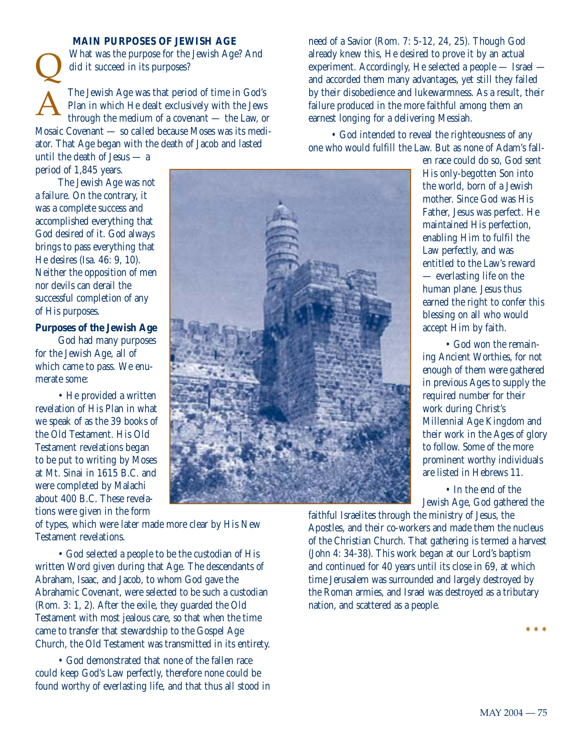**MAIN PURPOSES OF JEWISH AGE**

What was the purpose for the Jewish Age? And did it succeed in its purposes?

The Jewish Age was that period of time in God's Plan in which He dealt exclusively with the Jews through the medium of a covenant — the Law, or Mosaic Covenant — so called because Moses was its mediator. That Age began with the death of Jacob and lasted Q A

until the death of Jesus — a period of 1,845 years.

The Jewish Age was not a failure. On the contrary, it was a complete success and accomplished everything that God desired of it. God always brings to pass everything that He desires (Isa. 46: 9, 10). Neither the opposition of men nor devils can derail the successful completion of any of His purposes.

**Purposes of the Jewish Age**

God had many purposes for the Jewish Age, all of which came to pass. We enumerate some:

• He provided a written revelation of His Plan in what we speak of as the 39 books of the Old Testament. His Old Testament revelations began to be put to writing by Moses at Mt. Sinai in 1615 B.C. and were completed by Malachi about 400 B.C. These revelations were given in the form

of types, which were later made more clear by His New Testament revelations.

• God selected a people to be the custodian of His written Word given during that Age. The descendants of Abraham, Isaac, and Jacob, to whom God gave the Abrahamic Covenant, were selected to be such a custodian (Rom. 3: 1, 2). After the exile, they guarded the Old Testament with most jealous care, so that when the time came to transfer that stewardship to the Gospel Age Church, the Old Testament was transmitted in its entirety.

• God demonstrated that none of the fallen race could keep God's Law perfectly, therefore none could be found worthy of everlasting life, and that thus all stood in need of a Savior (Rom. 7: 5-12, 24, 25). Though God already knew this, He desired to prove it by an actual experiment. Accordingly, He selected a people — Israel and accorded them many advantages, yet still they failed by their disobedience and lukewarmness. As a result, their failure produced in the more faithful among them an earnest longing for a delivering Messiah.

• God intended to reveal the righteousness of any one who would fulfill the Law. But as none of Adam's fall-

> en race could do so, God sent His only-begotten Son into the world, born of a Jewish mother. Since God was His Father, Jesus was perfect. He maintained His perfection, enabling Him to fulfil the Law perfectly, and was entitled to the Law's reward — everlasting life on the human plane. Jesus thus earned the right to confer this blessing on all who would accept Him by faith.

• God won the remaining Ancient Worthies, for not enough of them were gathered in previous Ages to supply the required number for their work during Christ's Millennial Age Kingdom and their work in the Ages of glory to follow. Some of the more prominent worthy individuals are listed in Hebrews 11.

• In the end of the Jewish Age, God gathered the

faithful Israelites through the ministry of Jesus, the Apostles, and their co-workers and made them the nucleus of the Christian Church. That gathering is termed a harvest (John 4: 34-38). This work began at our Lord's baptism and continued for 40 years until its close in 69, at which time Jerusalem was surrounded and largely destroyed by the Roman armies, and Israel was destroyed as a tributary nation, and scattered as a people.

**\* \* \***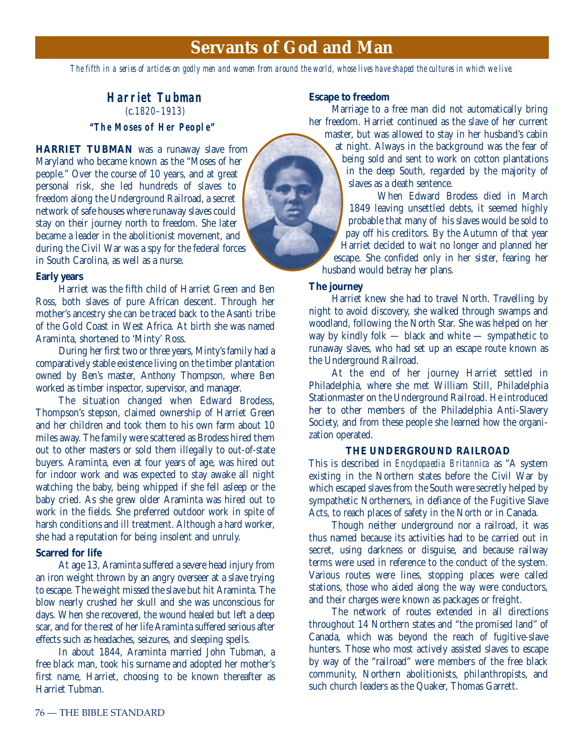# **Servants of God and Man**

*The fifth in a series of articles on godly men and women from around the world, whose lives have shaped the cultures in which we live.*

# **Harriet Tubman** (c.1820–1913)

## **"The Moses of Her People"**

**HARRIET TUBMAN** was a runaway slave from Maryland who became known as the "Moses of her people." Over the course of 10 years, and at great personal risk, she led hundreds of slaves to freedom along the Underground Railroad, a secret network of safe houses where runaway slaves could stay on their journey north to freedom. She later became a leader in the abolitionist movement, and during the Civil War was a spy for the federal forces in South Carolina, as well as a nurse.

#### **Early years**

Harriet was the fifth child of Harriet Green and Ben Ross, both slaves of pure African descent. Through her mother's ancestry she can be traced back to the Asanti tribe of the Gold Coast in West Africa. At birth she was named Araminta, shortened to 'Minty' Ross.

During her first two or three years, Minty's family had a comparatively stable existence living on the timber plantation owned by Ben's master, Anthony Thompson, where Ben worked as timber inspector, supervisor, and manager.

The situation changed when Edward Brodess, Thompson's stepson, claimed ownership of Harriet Green and her children and took them to his own farm about 10 miles away. The family were scattered as Brodess hired them out to other masters or sold them illegally to out-of-state buyers. Araminta, even at four years of age, was hired out for indoor work and was expected to stay awake all night watching the baby, being whipped if she fell asleep or the baby cried. As she grew older Araminta was hired out to work in the fields. She preferred outdoor work in spite of harsh conditions and ill treatment. Although a hard worker, she had a reputation for being insolent and unruly.

#### **Scarred for life**

At age 13, Araminta suffered a severe head injury from an iron weight thrown by an angry overseer at a slave trying to escape. The weight missed the slave but hit Araminta. The blow nearly crushed her skull and she was unconscious for days. When she recovered, the wound healed but left a deep scar, and for the rest of her life Araminta suffered serious after effects such as headaches, seizures, and sleeping spells.

In about 1844, Araminta married John Tubman, a free black man, took his surname and adopted her mother's first name, Harriet, choosing to be known thereafter as Harriet Tubman.

#### **Escape to freedom**

Marriage to a free man did not automatically bring her freedom. Harriet continued as the slave of her current master, but was allowed to stay in her husband's cabin

at night. Always in the background was the fear of being sold and sent to work on cotton plantations in the deep South, regarded by the majority of slaves as a death sentence.

When Edward Brodess died in March 1849 leaving unsettled debts, it seemed highly probable that many of his slaves would be sold to pay off his creditors. By the Autumn of that year Harriet decided to wait no longer and planned her escape. She confided only in her sister, fearing her husband would betray her plans.

#### **The journey**

Harriet knew she had to travel North. Travelling by night to avoid discovery, she walked through swamps and woodland, following the North Star. She was helped on her way by kindly folk — black and white — sympathetic to runaway slaves, who had set up an escape route known as the Underground Railroad.

At the end of her journey Harriet settled in Philadelphia, where she met William Still, Philadelphia Stationmaster on the Underground Railroad. He introduced her to other members of the Philadelphia Anti-Slavery Society, and from these people she learned how the organization operated.

#### **THE UNDERGROUND RAILROAD**

This is described in *Encyclopaedia Britannica* as "A system existing in the Northern states before the Civil War by which escaped slaves from the South were secretly helped by sympathetic Northerners, in defiance of the Fugitive Slave Acts, to reach places of safety in the North or in Canada.

Though neither underground nor a railroad, it was thus named because its activities had to be carried out in secret, using darkness or disguise, and because railway terms were used in reference to the conduct of the system. Various routes were lines, stopping places were called stations, those who aided along the way were conductors, and their charges were known as packages or freight.

The network of routes extended in all directions throughout 14 Northern states and "the promised land" of Canada, which was beyond the reach of fugitive-slave hunters. Those who most actively assisted slaves to escape by way of the "railroad" were members of the free black community, Northern abolitionists, philanthropists, and such church leaders as the Quaker, Thomas Garrett.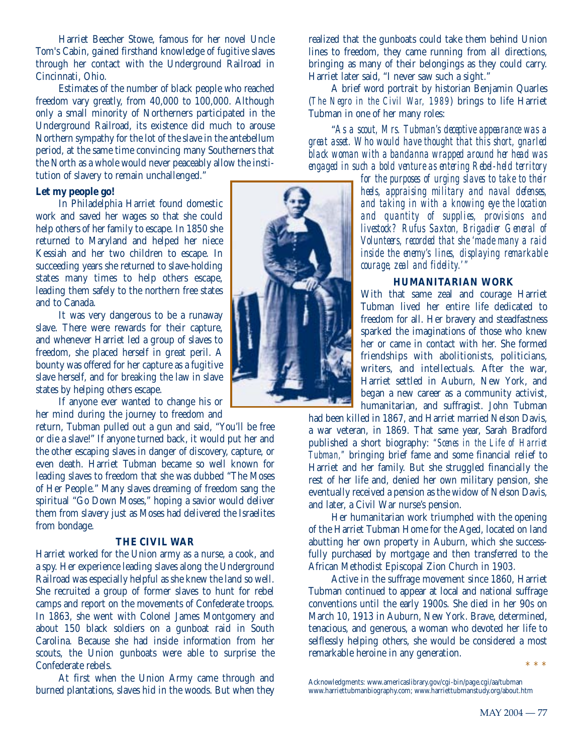Harriet Beecher Stowe, famous for her novel Uncle Tom's Cabin, gained firsthand knowledge of fugitive slaves through her contact with the Underground Railroad in Cincinnati, Ohio.

Estimates of the number of black people who reached freedom vary greatly, from 40,000 to 100,000. Although only a small minority of Northerners participated in the Underground Railroad, its existence did much to arouse Northern sympathy for the lot of the slave in the antebellum period, at the same time convincing many Southerners that the North as a whole would never peaceably allow the institution of slavery to remain unchallenged."

#### **Let my people go!**

In Philadelphia Harriet found domestic work and saved her wages so that she could help others of her family to escape. In 1850 she returned to Maryland and helped her niece Kessiah and her two children to escape. In succeeding years she returned to slave-holding states many times to help others escape, leading them safely to the northern free states and to Canada.

It was very dangerous to be a runaway slave. There were rewards for their capture, and whenever Harriet led a group of slaves to freedom, she placed herself in great peril. A bounty was offered for her capture as a fugitive slave herself, and for breaking the law in slave states by helping others escape.

If anyone ever wanted to change his or her mind during the journey to freedom and

return, Tubman pulled out a gun and said, "You'll be free or die a slave!" If anyone turned back, it would put her and the other escaping slaves in danger of discovery, capture, or even death. Harriet Tubman became so well known for leading slaves to freedom that she was dubbed "The Moses of Her People." Many slaves dreaming of freedom sang the spiritual "Go Down Moses," hoping a savior would deliver them from slavery just as Moses had delivered the Israelites from bondage.

#### **THE CIVIL WAR**

Harriet worked for the Union army as a nurse, a cook, and a spy. Her experience leading slaves along the Underground Railroad was especially helpful as she knew the land so well. She recruited a group of former slaves to hunt for rebel camps and report on the movements of Confederate troops. In 1863, she went with Colonel James Montgomery and about 150 black soldiers on a gunboat raid in South Carolina. Because she had inside information from her scouts, the Union gunboats were able to surprise the Confederate rebels.

At first when the Union Army came through and burned plantations, slaves hid in the woods. But when they realized that the gunboats could take them behind Union lines to freedom, they came running from all directions, bringing as many of their belongings as they could carry. Harriet later said, "I never saw such a sight."

A brief word portrait by historian Benjamin Quarles (*The Negro in the Civil War, 1989*) brings to life Harriet Tubman in one of her many roles:

"*As a scout, Mrs. Tubman's deceptive appearance was a great asset. Who would have thought that this short, gnarled black woman with a bandanna wrapped around her head was engaged in such a bold venture as entering Rebel-held territory*

> *for the purposes of urging slaves to take to their heels, appraising military and naval defenses, and taking in with a knowing eye the location and quantity of supplies, provisions and livestock? Rufus Saxton, Brigadier General of Volunteers, recorded that she 'made many a raid inside the enemy's lines, displaying remarkable courage, zeal and fidelity.'"*

#### **HUMANITARIAN WORK**

With that same zeal and courage Harriet Tubman lived her entire life dedicated to freedom for all. Her bravery and steadfastness sparked the imaginations of those who knew her or came in contact with her. She formed friendships with abolitionists, politicians, writers, and intellectuals. After the war, Harriet settled in Auburn, New York, and began a new career as a community activist, humanitarian, and suffragist. John Tubman

had been killed in 1867, and Harriet married Nelson Davis, a war veteran, in 1869. That same year, Sarah Bradford published a short biography: *"Scenes in the Life of Harriet Tubman,"* bringing brief fame and some financial relief to Harriet and her family. But she struggled financially the rest of her life and, denied her own military pension, she eventually received a pension as the widow of Nelson Davis, and later, a Civil War nurse's pension.

Her humanitarian work triumphed with the opening of the Harriet Tubman Home for the Aged, located on land abutting her own property in Auburn, which she successfully purchased by mortgage and then transferred to the African Methodist Episcopal Zion Church in 1903.

Active in the suffrage movement since 1860, Harriet Tubman continued to appear at local and national suffrage conventions until the early 1900s. She died in her 90s on March 10, 1913 in Auburn, New York. Brave, determined, tenacious, and generous, a woman who devoted her life to selflessly helping others, she would be considered a most remarkable heroine in any generation. \*\*\*

Acknowledgments: www.americaslibrary.gov/cgi-bin/page.cgi/aa/tubman www.harriettubmanbiography.com; www.harriettubmanstudy.org/about.htm

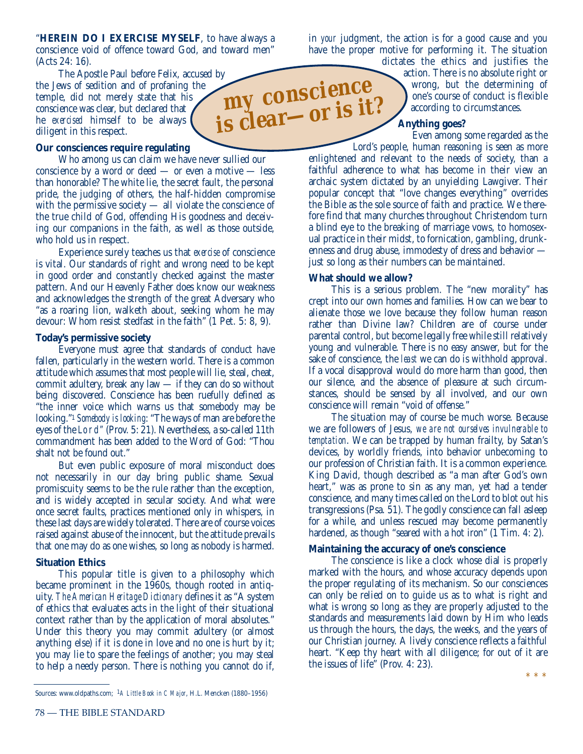"**HEREIN DO I EXERCISE MYSELF**, to have always a conscience void of offence toward God, and toward men" (Acts 24: 16).

The Apostle Paul before Felix, accused by the Jews of sedition and of profaning the temple, did not merely state that his conscience was clear, but declared that he *exercised* himself to be always diligent in this respect.

#### **Our consciences require regulating**

Who among us can claim we have never sullied our conscience by a word or deed — or even a motive — less than honorable? The white lie, the secret fault, the personal pride, the judging of others, the half-hidden compromise with the permissive society — all violate the conscience of the true child of God, offending His goodness and deceiving our companions in the faith, as well as those outside, who hold us in respect.

Experience surely teaches us that *exercise* of conscience is vital. Our standards of right and wrong need to be kept in good order and constantly checked against the master pattern. And our Heavenly Father does know our weakness and acknowledges the strength of the great Adversary who "as a roaring lion, walketh about, seeking whom he may devour: Whom resist stedfast in the faith" (1 Pet. 5: 8, 9).

#### **Today's permissive society**

Everyone must agree that standards of conduct have fallen, particularly in the western world. There is a common attitude which assumes that most people will lie, steal, cheat, commit adultery, break any law — if they can do so without being discovered. Conscience has been ruefully defined as "the inner voice which warns us that somebody may be looking."1 *Somebody is looking*: "The ways of man are before the eyes of the Lord" (Prov. 5: 21). Nevertheless, a so-called 11th commandment has been added to the Word of God: "Thou shalt not be found out."

But even public exposure of moral misconduct does not necessarily in our day bring public shame. Sexual promiscuity seems to be the rule rather than the exception, and is widely accepted in secular society. And what were once secret faults, practices mentioned only in whispers, in these last days are widely tolerated. There are of course voices raised against abuse of the innocent, but the attitude prevails that one may do as one wishes, so long as nobody is harmed.

#### **Situation Ethics**

This popular title is given to a philosophy which became prominent in the 1960s, though rooted in antiquity. *The American Heritage Dictionary* defines it as "A system of ethics that evaluates acts in the light of their situational context rather than by the application of moral absolutes." Under this theory you may commit adultery (or almost anything else) if it is done in love and no one is hurt by it; you may lie to spare the feelings of another; you may steal to help a needy person. There is nothing you cannot do if,

in *your* judgment, the action is for a good cause and you have the proper motive for performing it. The situation dictates the ethics and justifies the

action. There is no absolute right or wrong, but the determining of one's course of conduct is flexible according to circumstances.

#### **Anything goes?**

Even among some regarded as the

Lord's people, human reasoning is seen as more enlightened and relevant to the needs of society, than a faithful adherence to what has become in their view an archaic system dictated by an unyielding Lawgiver. Their popular concept that "love changes everything" overrides the Bible as the sole source of faith and practice. We therefore find that many churches throughout Christendom turn a blind eye to the breaking of marriage vows, to homosexual practice in their midst, to fornication, gambling, drunkenness and drug abuse, immodesty of dress and behavior just so long as their numbers can be maintained.

#### **What should we allow?**

This is a serious problem. The "new morality" has crept into our own homes and families. How can we bear to alienate those we love because they follow human reason rather than Divine law? Children are of course under parental control, but become legally free while still relatively young and vulnerable. There is no easy answer, but for the sake of conscience, the *least* we can do is withhold approval. If a vocal disapproval would do more harm than good, then our silence, and the absence of pleasure at such circumstances, should be sensed by all involved, and our own conscience will remain "void of offense."

The situation may of course be much worse. Because we are followers of Jesus, *we are not ourselves invulnerable to temptation*. We can be trapped by human frailty, by Satan's devices, by worldly friends, into behavior unbecoming to our profession of Christian faith. It is a common experience. King David, though described as "a man after God's own heart," was as prone to sin as any man, yet had a tender conscience, and many times called on the Lord to blot out his transgressions (Psa. 51). The godly conscience can fall asleep for a while, and unless rescued may become permanently hardened, as though "seared with a hot iron" (1 Tim. 4: 2).

#### **Maintaining the accuracy of one's conscience**

The conscience is like a clock whose dial is properly marked with the hours, and whose accuracy depends upon the proper regulating of its mechanism. So our consciences can only be relied on to guide us as to what is right and what is wrong so long as they are properly adjusted to the standards and measurements laid down by Him who leads us through the hours, the days, the weeks, and the years of our Christian journey. A lively conscience reflects a faithful heart. "Keep thy heart with all diligence; for out of it are the issues of life" (Prov. 4: 23).



Sources: www.oldpaths.com; 1*A Little Book in C Major*, H.L. Mencken (1880–1956)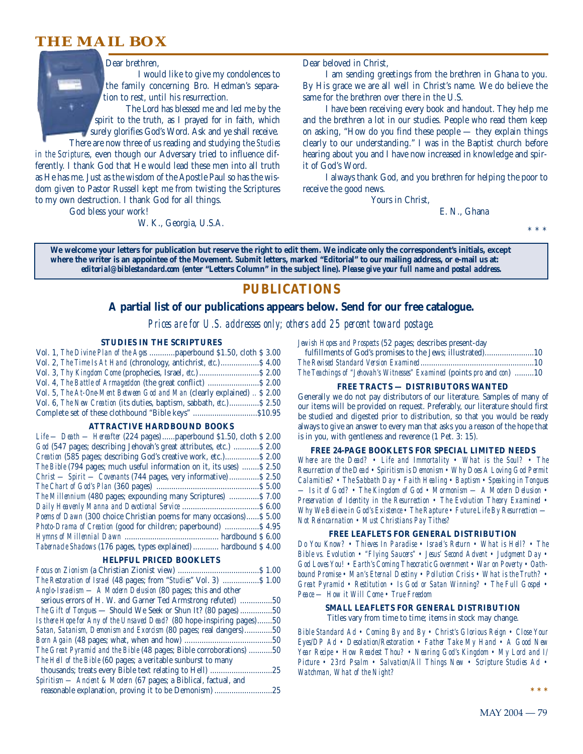# **THE MAIL BOX**



Dear brethren,

I would like to give my condolences to the family concerning Bro. Hedman's separation to rest, until his resurrection.

The Lord has blessed me and led me by the spirit to the truth, as I prayed for in faith, which surely glorifies God's Word. Ask and ye shall receive. There are now three of us reading and studying the *Studies*

*in the Scriptures*, even though our Adversary tried to influence differently. I thank God that He would lead these men into all truth as He has me. Just as the wisdom of the Apostle Paul so has the wisdom given to Pastor Russell kept me from twisting the Scriptures to my own destruction. I thank God for all things.

God bless your work!

W. K., Georgia, U.S.A.

Dear beloved in Christ,

I am sending greetings from the brethren in Ghana to you. By His grace we are all well in Christ's name. We do believe the same for the brethren over there in the U.S.

I have been receiving every book and handout. They help me and the brethren a lot in our studies. People who read them keep on asking, "How do you find these people — they explain things clearly to our understanding." I was in the Baptist church before hearing about you and I have now increased in knowledge and spirit of God's Word.

I always thank God, and you brethren for helping the poor to receive the good news.

Yours in Christ,

E. N., Ghana

\* \* \*

**We welcome your letters for publication but reserve the right to edit them. We indicate only the correspondent's initials, except where the writer is an appointee of the Movement. Submit letters, marked "Editorial" to our mailing address, or e-mail us at:** *editorial@biblestandard.com* **(enter "Letters Column" in the subject line).** *Please give your full name and postal address.*

## **PUBLICATIONS**

#### **A partial list of our publications appears below. Send for our free catalogue.**

*Prices are for U.S. addresses only; others add 25 percent toward postage.*

#### **STUDIES IN THE SCRIPTURES**

| Vol. 1, The Divine Plan of the Ages  paperbound \$1.50, cloth \$3.00     |  |
|--------------------------------------------------------------------------|--|
| Vol. 2, The Time Is At Hand (chronology, antichrist, etc.) \$4.00        |  |
|                                                                          |  |
|                                                                          |  |
| Vol. 5, The At-One-Ment Between God and Man (clearly explained)  \$ 2.00 |  |
| Vol. 6, The New Creation (its duties, baptism, sabbath, etc.) \$2.50     |  |
| Complete set of these clothbound "Bible keys" \$10.95                    |  |

#### **ATTRACTIVE HARDBOUND BOOKS**

| Life — Death — Hereafter (224 pages)  paperbound \$1.50, cloth \$2.00  |
|------------------------------------------------------------------------|
| God (547 pages; describing Jehovah's great attributes, etc.)  \$2.00   |
| Creation (585 pages; describing God's creative work, etc.) \$2.00      |
| The Bible (794 pages; much useful information on it, its uses)  \$2.50 |
| Christ — Spirit — Covenants (744 pages, very informative)  \$2.50      |
|                                                                        |
| The Millennium (480 pages; expounding many Scriptures)  \$7.00         |
|                                                                        |
| Poems of Dawn (300 choice Christian poems for many occasions) \$5.00   |
| Photo-Drama of Creation (good for children; paperbound)  \$4.95        |
|                                                                        |
| Tabernacle Shadows (176 pages, types explained)  hardbound \$ 4.00     |

#### **HELPFUL PRICED BOOKLETS**

|                                                                        | .51.00 |
|------------------------------------------------------------------------|--------|
| The Restoration of Israel (48 pages; from "Studies" Vol. 3)  \$ 1.00   |        |
| Anglo-Israelism — A Modern Delusion (80 pages; this and other          |        |
| serious errors of H. W. and Garner Ted Armstrong refuted)              | .50    |
| <i>The Gift of Tongues</i> — Should We Seek or Shun It? (80 pages) 50  |        |
| Is there Hope for Any of the Unsaved Dead? (80 hope-inspiring pages)50 |        |
| Satan, Satanism, Demonism and Exorcism (80 pages; real dangers)        | .50    |
|                                                                        | .50    |
| The Great Pyramid and the Bible (48 pages; Bible corroborations) 50    |        |
| The Hell of the Bible (60 pages; a veritable sunburst to many          |        |
| thousands; treats every Bible text relating to Hell)                   | .25    |
| Spiritism - Ancient & Modern (67 pages; a Biblical, factual, and       |        |
| reasonable explanation, proving it to be Demonism)                     | .25    |

*Jewish Hopes and Prospects* (52 pages; describes present-day

| contain respectively to the pages, accessible present any               |  |
|-------------------------------------------------------------------------|--|
|                                                                         |  |
|                                                                         |  |
| The Teachings of "Jehovah's Witnesses" Examined (points pro and con) 10 |  |

#### **FREE TRACTS — DISTRIBUTORS WANTED**

Generally we do not pay distributors of our literature. Samples of many of our items will be provided on request. Preferably, our literature should first be studied and digested prior to distribution, so that you would be ready always to give an answer to every man that asks you a reason of the hope that is in you, with gentleness and reverence (1 Pet. 3: 15).

#### **FREE 24-PAGE BOOKLETS FOR SPECIAL LIMITED NEEDS**

*Where are the Dead? • Life and Immortality • What is the Soul? • The Resurrection of the Dead • Spiritism is Demonism • Why Does A Loving God Permit Calamities? • The Sabbath Day • Faith Healing • Baptism • Speaking in Tongues — Is it of God? • The Kingdom of God • Mormonism — A Modern Delusion • Preservation of Identity in the Resurrection • The Evolution Theory Examined • Why We Believe in God's Existence • The Rapture • Future Life By Resurrection — Not Reincarnation • Must Christians Pay Tithes?*

#### **FREE LEAFLETS FOR GENERAL DISTRIBUTION**

*Do You Know? • Thieves In Paradise • Israel's Return • What is Hell? • The Bible vs. Evolution • "Flying Saucers" • Jesus' Second Advent • Judgment Day • God Loves You! • Earth's Coming Theocratic Government • War on Poverty • Oathbound Promise • Man's Eternal Destiny • Pollution Crisis • What is the Truth? • Great Pyramid • Restitution • Is God or Satan Winning? • The Full Gospel • Peace — How it Will Come • True Freedom*

#### **SMALL LEAFLETS FOR GENERAL DISTRIBUTION**

Titles vary from time to time; items in stock may change.

*Bible Standard Ad • Coming By and By • Christ's Glorious Reign • Close Your Eyes/DP Ad • Desolation/Restoration • Father Take My Hand • A Good New Year Recipe • How Readest Thou? • Nearing God's Kingdom • My Lord and I/ Picture • 23rd Psalm • Salvation/All Things New • Scripture Studies Ad • Watchman, What of the Night?*

**\*\*\***